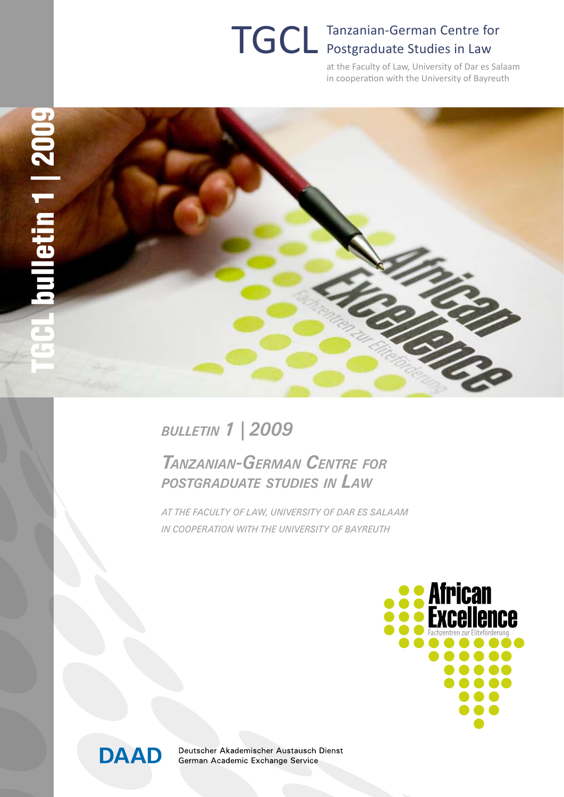# TGCL Tanzanian-German Centre for Postgraduate Studies in Law

at the Faculty of Law, University of Dar es Salaam in cooperation with the University of Bayreuth



*bulletin 1 | 2009*

*Tanzanian-German Centre for postgraduate studies in Law*

*at the Faculty of Law, University of Dar es Salaam in cooperation with the University of Bayreuth*





Deutscher Akademischer Austausch Dienst German Academic Exchange Service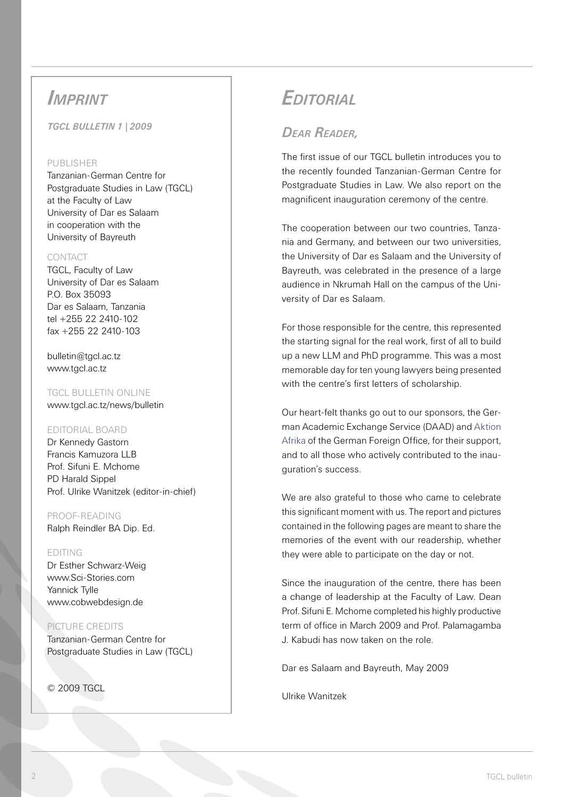# *Imprint*

*TGCL bulletin 1 | 2009* 

#### PURLISHER

Tanzanian-German Centre for Postgraduate Studies in Law (TGCL) at the Faculty of Law University of Dar es Salaam in cooperation with the University of Bayreuth

#### CONTACT

TGCL, Faculty of Law University of Dar es Salaam P.O. Box 35093 Dar es Salaam, Tanzania tel +255 22 2410-102 fax +255 22 2410-103

bulletin@tgcl.ac.tz www.tgcl.ac.tz

TGCL BULLETIN ONLINE www.tgcl.ac.tz/news/bulletin

#### Editorial Board

Dr Kennedy Gastorn Francis Kamuzora LLB Prof. Sifuni E. Mchome PD Harald Sippel Prof. Ulrike Wanitzek (editor-in-chief)

Proof-Reading Ralph Reindler BA Dip. Ed.

#### Editing

Dr Esther Schwarz-Weig www.Sci-Stories.com Yannick Tylle www.cobwebdesign.de

#### Picture credits

Tanzanian-German Centre for Postgraduate Studies in Law (TGCL)

© 2009 TGCL

# *Editorial*

### *Dear Reader,*

The first issue of our TGCL bulletin introduces you to the recently founded Tanzanian-German Centre for Postgraduate Studies in Law. We also report on the magnificent inauguration ceremony of the centre.

The cooperation between our two countries, Tanzania and Germany, and between our two universities, the University of Dar es Salaam and the University of Bayreuth, was celebrated in the presence of a large audience in Nkrumah Hall on the campus of the University of Dar es Salaam.

For those responsible for the centre, this represented the starting signal for the real work, first of all to build up a new LLM and PhD programme. This was a most memorable day for ten young lawyers being presented with the centre's first letters of scholarship.

Our heart-felt thanks go out to our sponsors, the German Academic Exchange Service (DAAD) and Aktion Afrika of the German Foreign Office, for their support, and to all those who actively contributed to the inauguration's success.

We are also grateful to those who came to celebrate this significant moment with us. The report and pictures contained in the following pages are meant to share the memories of the event with our readership, whether they were able to participate on the day or not.

Since the inauguration of the centre, there has been a change of leadership at the Faculty of Law. Dean Prof. Sifuni E. Mchome completed his highly productive term of office in March 2009 and Prof. Palamagamba J. Kabudi has now taken on the role.

Dar es Salaam and Bayreuth, May 2009

Ulrike Wanitzek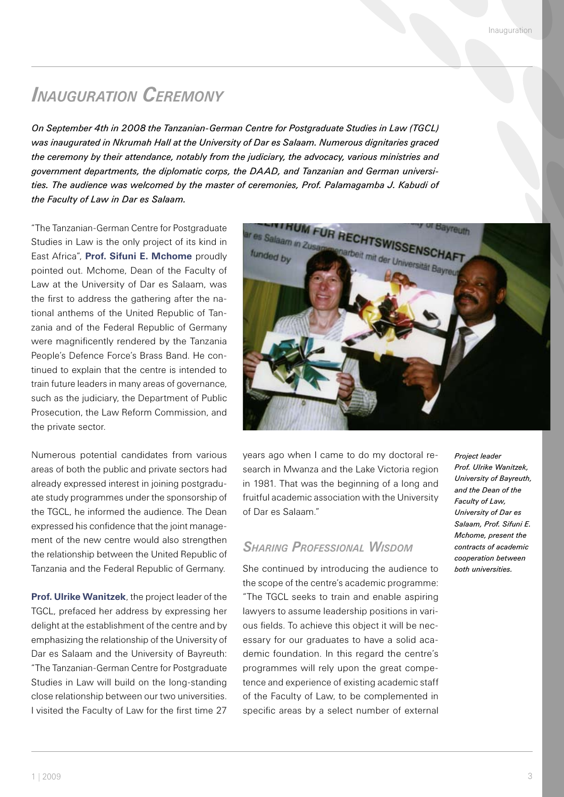# *Inauguration Ceremony*

*On September 4th in 2008 the Tanzanian-German Centre for Postgraduate Studies in Law (TGCL) was inaugurated in Nkrumah Hall at the University of Dar es Salaam. Numerous dignitaries graced the ceremony by their attendance, notably from the judiciary, the advocacy, various ministries and government departments, the diplomatic corps, the DAAD, and Tanzanian and German universities. The audience was welcomed by the master of ceremonies, Prof. Palamagamba J. Kabudi of the Faculty of Law in Dar es Salaam.* 

"The Tanzanian-German Centre for Postgraduate Studies in Law is the only project of its kind in East Africa", **Prof. Sifuni E. Mchome** proudly pointed out. Mchome, Dean of the Faculty of Law at the University of Dar es Salaam, was the first to address the gathering after the national anthems of the United Republic of Tanzania and of the Federal Republic of Germany were magnificently rendered by the Tanzania People's Defence Force's Brass Band. He continued to explain that the centre is intended to train future leaders in many areas of governance, such as the judiciary, the Department of Public Prosecution, the Law Reform Commission, and the private sector.

Numerous potential candidates from various areas of both the public and private sectors had already expressed interest in joining postgraduate study programmes under the sponsorship of the TGCL, he informed the audience. The Dean expressed his confidence that the joint management of the new centre would also strengthen the relationship between the United Republic of Tanzania and the Federal Republic of Germany.

**Prof. Ulrike Wanitzek**, the project leader of the TGCL, prefaced her address by expressing her delight at the establishment of the centre and by emphasizing the relationship of the University of Dar es Salaam and the University of Bayreuth: "The Tanzanian-German Centre for Postgraduate Studies in Law will build on the long-standing close relationship between our two universities. I visited the Faculty of Law for the first time 27



years ago when I came to do my doctoral research in Mwanza and the Lake Victoria region in 1981. That was the beginning of a long and fruitful academic association with the University of Dar es Salaam."

#### *Sharing Professional Wisdom*

She continued by introducing the audience to the scope of the centre's academic programme: "The TGCL seeks to train and enable aspiring lawyers to assume leadership positions in various fields. To achieve this object it will be necessary for our graduates to have a solid academic foundation. In this regard the centre's programmes will rely upon the great competence and experience of existing academic staff of the Faculty of Law, to be complemented in specific areas by a select number of external

*Project leader Prof. Ulrike Wanitzek, University of Bayreuth, and the Dean of the Faculty of Law, University of Dar es Salaam, Prof. Sifuni E. Mchome, present the contracts of academic cooperation between both universities.*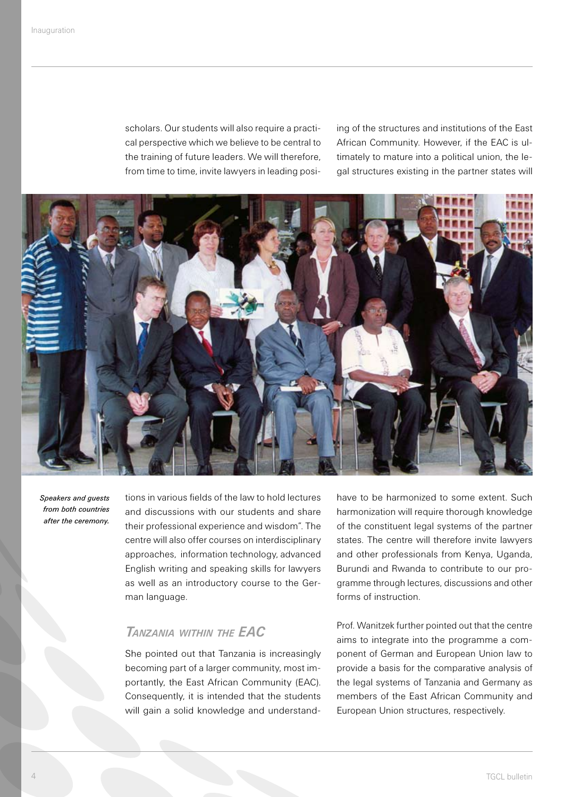scholars. Our students will also require a practical perspective which we believe to be central to the training of future leaders. We will therefore, from time to time, invite lawyers in leading posiing of the structures and institutions of the East African Community. However, if the EAC is ultimately to mature into a political union, the legal structures existing in the partner states will



*Speakers and guests from both countries after the ceremony.*

tions in various fields of the law to hold lectures and discussions with our students and share their professional experience and wisdom". The centre will also offer courses on interdisciplinary approaches, information technology, advanced English writing and speaking skills for lawyers as well as an introductory course to the German language.

### *Tanzania within the EAC*

She pointed out that Tanzania is increasingly becoming part of a larger community, most importantly, the East African Community (EAC). Consequently, it is intended that the students will gain a solid knowledge and understandhave to be harmonized to some extent. Such harmonization will require thorough knowledge of the constituent legal systems of the partner states. The centre will therefore invite lawyers and other professionals from Kenya, Uganda, Burundi and Rwanda to contribute to our programme through lectures, discussions and other forms of instruction.

Prof. Wanitzek further pointed out that the centre aims to integrate into the programme a component of German and European Union law to provide a basis for the comparative analysis of the legal systems of Tanzania and Germany as members of the East African Community and European Union structures, respectively.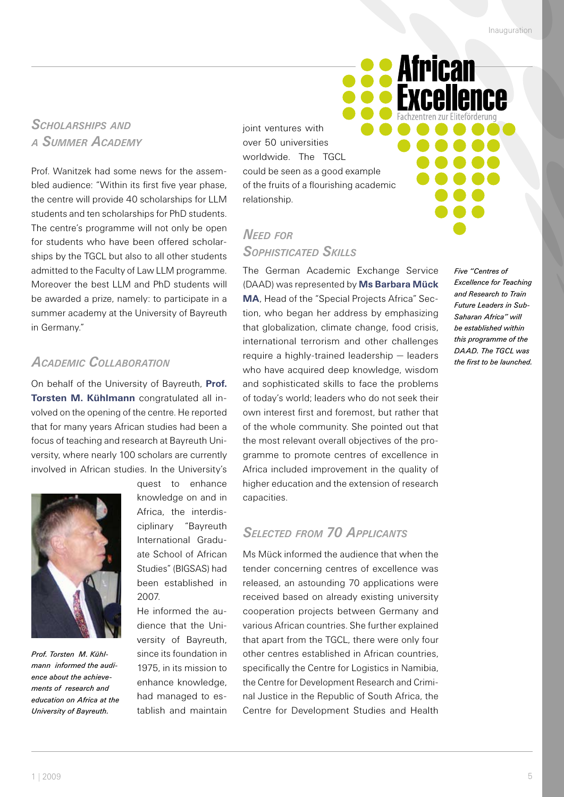**African** 

**Fxcellence** 

# *Scholarships and <sup>a</sup> Summer Academy*

Prof. Wanitzek had some news for the assembled audience: "Within its first five year phase, the centre will provide 40 scholarships for LLM students and ten scholarships for PhD students. The centre's programme will not only be open for students who have been offered scholarships by the TGCL but also to all other students admitted to the Faculty of Law LLM programme. Moreover the best LLM and PhD students will be awarded a prize, namely: to participate in a summer academy at the University of Bayreuth in Germany."

#### *Academic Collaboration*

On behalf of the University of Bayreuth, **Prof. Torsten M. Kühlmann** congratulated all involved on the opening of the centre. He reported that for many years African studies had been a focus of teaching and research at Bayreuth University, where nearly 100 scholars are currently involved in African studies. In the University's



*Prof. Torsten M. Kühlmann informed the audience about the achievements of research and education on Africa at the University of Bayreuth.* 

quest to enhance knowledge on and in Africa, the interdisciplinary "Bayreuth International Graduate School of African Studies" (BIGSAS) had been established in 2007.

He informed the audience that the University of Bayreuth, since its foundation in 1975, in its mission to enhance knowledge, had managed to establish and maintain joint ventures with over 50 universities worldwide. The TGCL could be seen as a good example of the fruits of a flourishing academic relationship.

# *Need for Sophisticated Skills*

The German Academic Exchange Service (DAAD) was represented by **Ms Barbara Mück MA**, Head of the "Special Projects Africa" Section, who began her address by emphasizing that globalization, climate change, food crisis, international terrorism and other challenges require a highly-trained leadership – leaders who have acquired deep knowledge, wisdom and sophisticated skills to face the problems of today's world; leaders who do not seek their own interest first and foremost, but rather that of the whole community. She pointed out that the most relevant overall objectives of the programme to promote centres of excellence in Africa included improvement in the quality of higher education and the extension of research capacities.

#### *Selected from 70 Applicants*

Ms Mück informed the audience that when the tender concerning centres of excellence was released, an astounding 70 applications were received based on already existing university cooperation projects between Germany and various African countries. She further explained that apart from the TGCL, there were only four other centres established in African countries, specifically the Centre for Logistics in Namibia, the Centre for Development Research and Criminal Justice in the Republic of South Africa, the Centre for Development Studies and Health

*Five "Centres of Excellence for Teaching and Research to Train Future Leaders in Sub-Saharan Africa" will be established within this programme of the DAAD. The TGCL was the first to be launched.*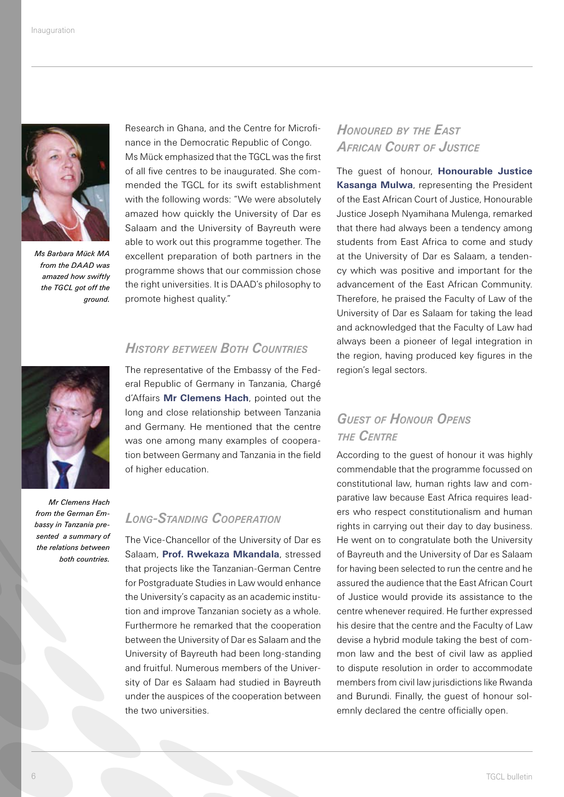

*Ms Barbara Mück MA from the DAAD was amazed how swiftly the TGCL got off the ground.* 

Research in Ghana, and the Centre for Microfinance in the Democratic Republic of Congo. Ms Mück emphasized that the TGCL was the first of all five centres to be inaugurated. She commended the TGCL for its swift establishment with the following words: "We were absolutely amazed how quickly the University of Dar es Salaam and the University of Bayreuth were able to work out this programme together. The excellent preparation of both partners in the programme shows that our commission chose the right universities. It is DAAD's philosophy to promote highest quality."

# *History between Both Countries*

The representative of the Embassy of the Federal Republic of Germany in Tanzania, Chargé d'Affairs **Mr Clemens Hach**, pointed out the long and close relationship between Tanzania and Germany. He mentioned that the centre was one among many examples of cooperation between Germany and Tanzania in the field of higher education.

#### *Mr Clemens Hach from the German Embassy in Tanzania presented a summary of the relations between both countries.*

#### *Long-Standing Cooperation*

The Vice-Chancellor of the University of Dar es Salaam, **Prof. Rwekaza Mkandala**, stressed that projects like the Tanzanian-German Centre for Postgraduate Studies in Law would enhance the University's capacity as an academic institution and improve Tanzanian society as a whole. Furthermore he remarked that the cooperation between the University of Dar es Salaam and the University of Bayreuth had been long-standing and fruitful. Numerous members of the University of Dar es Salaam had studied in Bayreuth under the auspices of the cooperation between the two universities.

## *Honoured by the East African Court of Justice*

The guest of honour, **Honourable Justice Kasanga Mulwa**, representing the President of the East African Court of Justice, Honourable Justice Joseph Nyamihana Mulenga, remarked that there had always been a tendency among students from East Africa to come and study at the University of Dar es Salaam, a tendency which was positive and important for the advancement of the East African Community. Therefore, he praised the Faculty of Law of the University of Dar es Salaam for taking the lead and acknowledged that the Faculty of Law had always been a pioneer of legal integration in the region, having produced key figures in the region's legal sectors.

# *Guest of Honour Opens the Centre*

According to the guest of honour it was highly commendable that the programme focussed on constitutional law, human rights law and comparative law because East Africa requires leaders who respect constitutionalism and human rights in carrying out their day to day business. He went on to congratulate both the University of Bayreuth and the University of Dar es Salaam for having been selected to run the centre and he assured the audience that the East African Court of Justice would provide its assistance to the centre whenever required. He further expressed his desire that the centre and the Faculty of Law devise a hybrid module taking the best of common law and the best of civil law as applied to dispute resolution in order to accommodate members from civil law jurisdictions like Rwanda and Burundi. Finally, the guest of honour solemnly declared the centre officially open.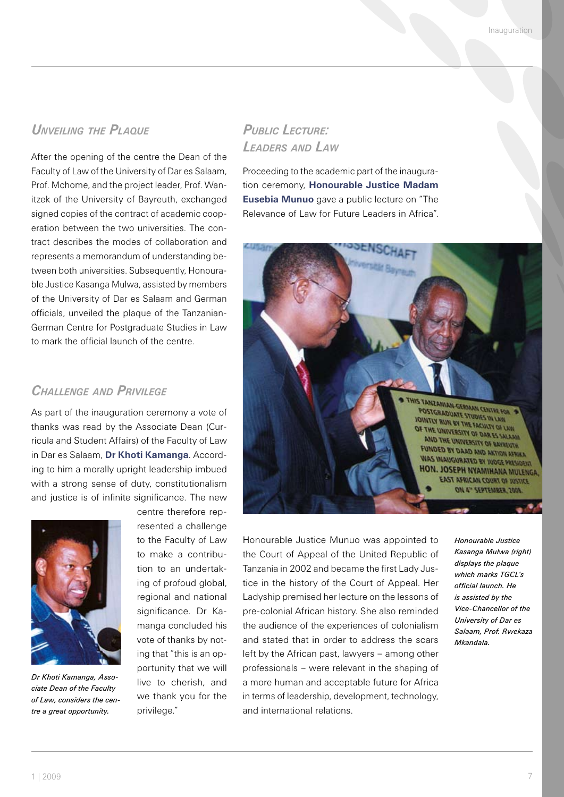#### *Unveiling the Plaque*

After the opening of the centre the Dean of the Faculty of Law of the University of Dar es Salaam, Prof. Mchome, and the project leader, Prof. Wanitzek of the University of Bayreuth, exchanged signed copies of the contract of academic cooperation between the two universities. The contract describes the modes of collaboration and represents a memorandum of understanding between both universities. Subsequently, Honourable Justice Kasanga Mulwa, assisted by members of the University of Dar es Salaam and German officials, unveiled the plaque of the Tanzanian-German Centre for Postgraduate Studies in Law to mark the official launch of the centre.

#### *Challenge and Privilege*

As part of the inauguration ceremony a vote of thanks was read by the Associate Dean (Curricula and Student Affairs) of the Faculty of Law in Dar es Salaam, **Dr Khoti Kamanga**. According to him a morally upright leadership imbued with a strong sense of duty, constitutionalism and justice is of infinite significance. The new



*Dr Khoti Kamanga, Associate Dean of the Faculty of Law, considers the centre a great opportunity.* 

centre therefore represented a challenge to the Faculty of Law to make a contribution to an undertaking of profoud global, regional and national significance. Dr Kamanga concluded his vote of thanks by noting that "this is an opportunity that we will live to cherish, and we thank you for the privilege."

## *Public Lecture: Leaders and Law*

Proceeding to the academic part of the inauguration ceremony, **Honourable Justice Madam Eusebia Munuo** gave a public lecture on "The Relevance of Law for Future Leaders in Africa".



Honourable Justice Munuo was appointed to the Court of Appeal of the United Republic of Tanzania in 2002 and became the first Lady Justice in the history of the Court of Appeal. Her Ladyship premised her lecture on the lessons of pre-colonial African history. She also reminded the audience of the experiences of colonialism and stated that in order to address the scars left by the African past, lawyers – among other professionals – were relevant in the shaping of a more human and acceptable future for Africa in terms of leadership, development, technology, and international relations.

*Honourable Justice Kasanga Mulwa (right) displays the plaque which marks TGCL's official launch. He is assisted by the Vice-Chancellor of the University of Dar es Salaam, Prof. Rwekaza Mkandala.*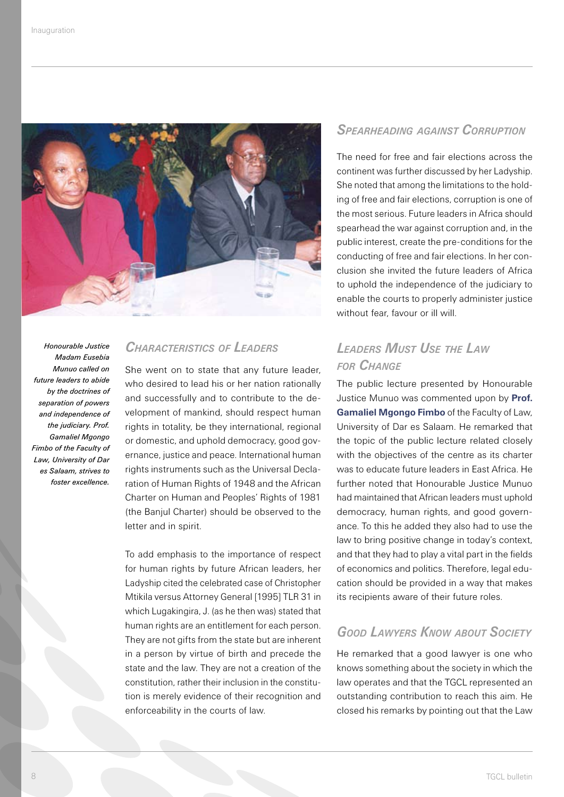

*Honourable Justice Madam Eusebia Munuo called on future leaders to abide by the doctrines of separation of powers and independence of the judiciary. Prof. Gamaliel Mgongo Fimbo of the Faculty of Law, University of Dar es Salaam, strives to foster excellence.* 

#### *Characteristics of Leaders*

She went on to state that any future leader, who desired to lead his or her nation rationally and successfully and to contribute to the development of mankind, should respect human rights in totality, be they international, regional or domestic, and uphold democracy, good governance, justice and peace. International human rights instruments such as the Universal Declaration of Human Rights of 1948 and the African Charter on Human and Peoples' Rights of 1981 (the Banjul Charter) should be observed to the letter and in spirit.

To add emphasis to the importance of respect for human rights by future African leaders, her Ladyship cited the celebrated case of Christopher Mtikila versus Attorney General [1995] TLR 31 in which Lugakingira, J. (as he then was) stated that human rights are an entitlement for each person. They are not gifts from the state but are inherent in a person by virtue of birth and precede the state and the law. They are not a creation of the constitution, rather their inclusion in the constitution is merely evidence of their recognition and enforceability in the courts of law.

#### *Spearheading against Corruption*

The need for free and fair elections across the continent was further discussed by her Ladyship. She noted that among the limitations to the holding of free and fair elections, corruption is one of the most serious. Future leaders in Africa should spearhead the war against corruption and, in the public interest, create the pre-conditions for the conducting of free and fair elections. In her conclusion she invited the future leaders of Africa to uphold the independence of the judiciary to enable the courts to properly administer justice without fear, favour or ill will.

# *Leaders Must Use the Law for Change*

The public lecture presented by Honourable Justice Munuo was commented upon by **Prof. Gamaliel Mgongo Fimbo** of the Faculty of Law, University of Dar es Salaam. He remarked that the topic of the public lecture related closely with the objectives of the centre as its charter was to educate future leaders in East Africa. He further noted that Honourable Justice Munuo had maintained that African leaders must uphold democracy, human rights, and good governance. To this he added they also had to use the law to bring positive change in today's context, and that they had to play a vital part in the fields of economics and politics. Therefore, legal education should be provided in a way that makes its recipients aware of their future roles.

### *Good Lawyers Know about Society*

He remarked that a good lawyer is one who knows something about the society in which the law operates and that the TGCL represented an outstanding contribution to reach this aim. He closed his remarks by pointing out that the Law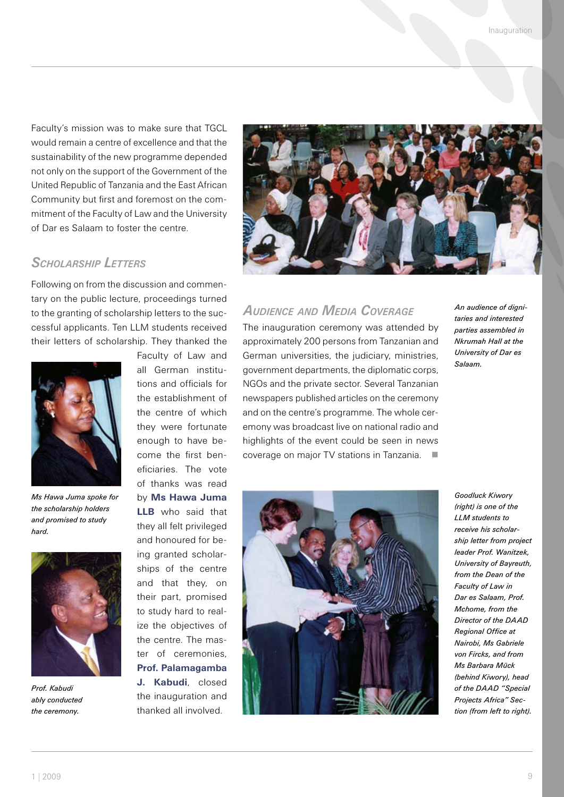Faculty's mission was to make sure that TGCL would remain a centre of excellence and that the sustainability of the new programme depended not only on the support of the Government of the United Republic of Tanzania and the East African Community but first and foremost on the commitment of the Faculty of Law and the University of Dar es Salaam to foster the centre.

#### *Scholarship Letters*

Following on from the discussion and commentary on the public lecture, proceedings turned to the granting of scholarship letters to the successful applicants. Ten LLM students received their letters of scholarship. They thanked the



*Ms Hawa Juma spoke for the scholarship holders and promised to study hard.* 



*Prof. Kabudi ably conducted the ceremony.* 

Faculty of Law and all German institutions and officials for the establishment of the centre of which they were fortunate enough to have become the first beneficiaries. The vote of thanks was read by **Ms Hawa Juma LLB** who said that they all felt privileged and honoured for be-

ing granted scholarships of the centre and that they, on their part, promised to study hard to realize the objectives of the centre. The master of ceremonies, **Prof. Palamagamba J. Kabudi**, closed the inauguration and thanked all involved.



#### *Audience and Media Coverage*

The inauguration ceremony was attended by approximately 200 persons from Tanzanian and German universities, the judiciary, ministries, government departments, the diplomatic corps, NGOs and the private sector. Several Tanzanian newspapers published articles on the ceremony and on the centre's programme. The whole ceremony was broadcast live on national radio and highlights of the event could be seen in news coverage on major TV stations in Tanzania.

*An audience of dignitaries and interested parties assembled in Nkrumah Hall at the University of Dar es Salaam.* 



*Goodluck Kiwory (right) is one of the LLM students to receive his scholarship letter from project leader Prof. Wanitzek, University of Bayreuth, from the Dean of the Faculty of Law in Dar es Salaam, Prof. Mchome, from the Director of the DAAD Regional Office at Nairobi, Ms Gabriele von Fircks, and from Ms Barbara Mück (behind Kiwory), head of the DAAD "Special Projects Africa" Section (from left to right).*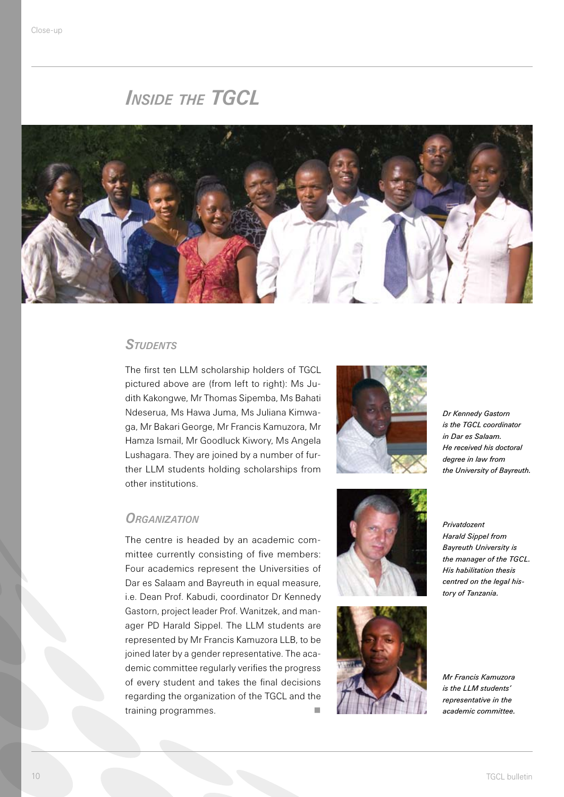# *Inside the TGCL*



#### *Students*

The first ten LLM scholarship holders of TGCL pictured above are (from left to right): Ms Judith Kakongwe, Mr Thomas Sipemba, Ms Bahati Ndeserua, Ms Hawa Juma, Ms Juliana Kimwaga, Mr Bakari George, Mr Francis Kamuzora, Mr Hamza Ismail, Mr Goodluck Kiwory, Ms Angela Lushagara. They are joined by a number of further LLM students holding scholarships from other institutions.

#### *Organization*

The centre is headed by an academic committee currently consisting of five members: Four academics represent the Universities of Dar es Salaam and Bayreuth in equal measure, i.e. Dean Prof. Kabudi, coordinator Dr Kennedy Gastorn, project leader Prof. Wanitzek, and manager PD Harald Sippel. The LLM students are represented by Mr Francis Kamuzora LLB, to be joined later by a gender representative. The academic committee regularly verifies the progress of every student and takes the final decisions regarding the organization of the TGCL and the training programmes.



*Dr Kennedy Gastorn is the TGCL coordinator in Dar es Salaam. He received his doctoral degree in law from the University of Bayreuth.*





*Privatdozent Harald Sippel from Bayreuth University is the manager of the TGCL. His habilitation thesis centred on the legal history of Tanzania.* 

*Mr Francis Kamuzora is the LLM students' representative in the academic committee.*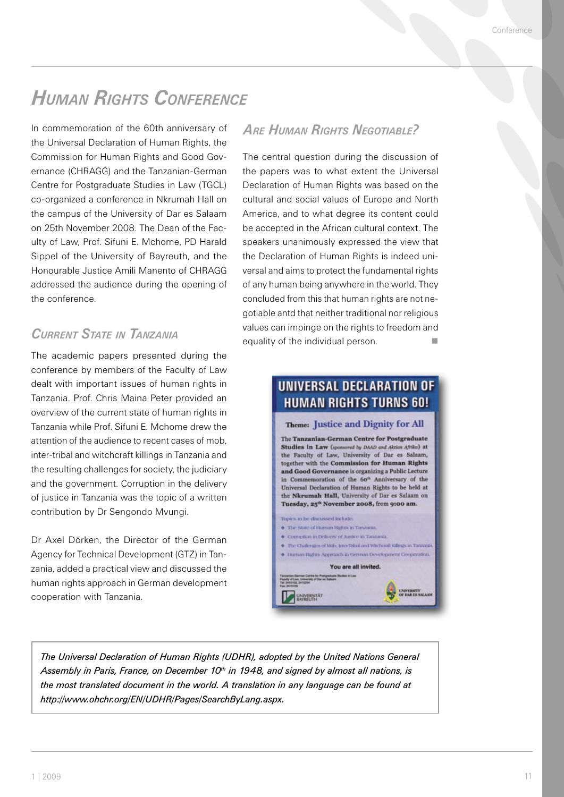# *Human Rights Conference*

In commemoration of the 60th anniversary of the Universal Declaration of Human Rights, the Commission for Human Rights and Good Governance (CHRAGG) and the Tanzanian-German Centre for Postgraduate Studies in Law (TGCL) co-organized a conference in Nkrumah Hall on the campus of the University of Dar es Salaam on 25th November 2008. The Dean of the Faculty of Law, Prof. Sifuni E. Mchome, PD Harald Sippel of the University of Bayreuth, and the Honourable Justice Amili Manento of CHRAGG addressed the audience during the opening of the conference.

## *Current State in Tanzania*

The academic papers presented during the conference by members of the Faculty of Law dealt with important issues of human rights in Tanzania. Prof. Chris Maina Peter provided an overview of the current state of human rights in Tanzania while Prof. Sifuni E. Mchome drew the attention of the audience to recent cases of mob, inter-tribal and witchcraft killings in Tanzania and the resulting challenges for society, the judiciary and the government. Corruption in the delivery of justice in Tanzania was the topic of a written contribution by Dr Sengondo Mvungi.

Dr Axel Dörken, the Director of the German Agency for Technical Development (GTZ) in Tanzania, added a practical view and discussed the human rights approach in German development cooperation with Tanzania.

#### *Are Human Rights Negotiable?*

The central question during the discussion of the papers was to what extent the Universal Declaration of Human Rights was based on the cultural and social values of Europe and North America, and to what degree its content could be accepted in the African cultural context. The speakers unanimously expressed the view that the Declaration of Human Rights is indeed universal and aims to protect the fundamental rights of any human being anywhere in the world. They concluded from this that human rights are not negotiable antd that neither traditional nor religious values can impinge on the rights to freedom and equality of the individual person.



*The Universal Declaration of Human Rights (UDHR), adopted by the United Nations General Assembly in Paris, France, on December 10th in 1948, and signed by almost all nations, is the most translated document in the world. A translation in any language can be found at http://www.ohchr.org/EN/UDHR/Pages/SearchByLang.aspx.*